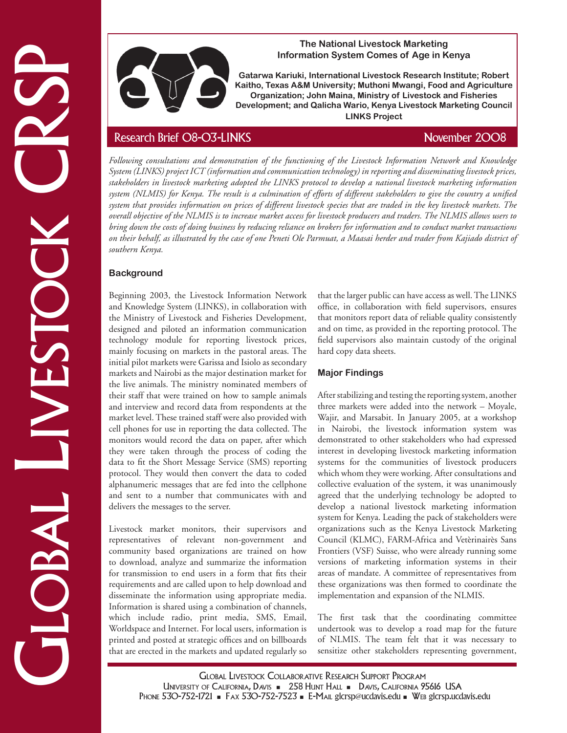

## **The National Livestock Marketing Information System Comes of Age in Kenya**

**Gatarwa Kariuki, International Livestock Research Institute; Robert Kaitho, Texas A&M University; Muthoni Mwangi, Food and Agriculture Organization; John Maina, Ministry of Livestock and Fisheries Development; and Qalicha Wario, Kenya Livestock Marketing Council LINKS Project**

Experimental and the system of the computation in the computation of the computation in the computation of the computation in the computation of the computation in the computation of the computation in the computation of t *Following consultations and demonstration of the functioning of the Livestock Information Network and Knowledge System (LINKS) project ICT (information and communication technology) in reporting and disseminating livestock prices, stakeholders in livestock marketing adopted the LINKS protocol to develop a national livestock marketing information system (NLMIS) for Kenya. The result is a culmination of efforts of different stakeholders to give the country a unified system that provides information on prices of different livestock species that are traded in the key livestock markets. The overall objective of the NLMIS is to increase market access for livestock producers and traders. The NLMIS allows users to bring down the costs of doing business by reducing reliance on brokers for information and to conduct market transactions on their behalf, as illustrated by the case of one Peneti Ole Parmuat, a Maasai herder and trader from Kajiado district of southern Kenya.* 

# **Background**

Beginning 2003, the Livestock Information Network and Knowledge System (LINKS), in collaboration with the Ministry of Livestock and Fisheries Development, designed and piloted an information communication technology module for reporting livestock prices, mainly focusing on markets in the pastoral areas. The initial pilot markets were Garissa and Isiolo as secondary markets and Nairobi as the major destination market for the live animals. The ministry nominated members of their staff that were trained on how to sample animals and interview and record data from respondents at the market level. These trained staff were also provided with cell phones for use in reporting the data collected. The monitors would record the data on paper, after which they were taken through the process of coding the data to fit the Short Message Service (SMS) reporting protocol. They would then convert the data to coded alphanumeric messages that are fed into the cellphone and sent to a number that communicates with and delivers the messages to the server.

Livestock market monitors, their supervisors and representatives of relevant non-government and community based organizations are trained on how to download, analyze and summarize the information for transmission to end users in a form that fits their requirements and are called upon to help download and disseminate the information using appropriate media. Information is shared using a combination of channels, which include radio, print media, SMS, Email, Worldspace and Internet. For local users, information is printed and posted at strategic offices and on billboards that are erected in the markets and updated regularly so that the larger public can have access as well. The LINKS office, in collaboration with field supervisors, ensures that monitors report data of reliable quality consistently and on time, as provided in the reporting protocol. The field supervisors also maintain custody of the original hard copy data sheets.

# **Major Findings**

After stabilizing and testing the reporting system, another three markets were added into the network – Moyale, Wajir, and Marsabit. In January 2005, at a workshop in Nairobi, the livestock information system was demonstrated to other stakeholders who had expressed interest in developing livestock marketing information systems for the communities of livestock producers which whom they were working. After consultations and collective evaluation of the system, it was unanimously agreed that the underlying technology be adopted to develop a national livestock marketing information system for Kenya. Leading the pack of stakeholders were organizations such as the Kenya Livestock Marketing Council (KLMC), FARM-Africa and Vetèrinairès Sans Frontiers (VSF) Suisse, who were already running some versions of marketing information systems in their areas of mandate. A committee of representatives from these organizations was then formed to coordinate the implementation and expansion of the NLMIS.

The first task that the coordinating committee undertook was to develop a road map for the future of NLMIS. The team felt that it was necessary to sensitize other stakeholders representing government,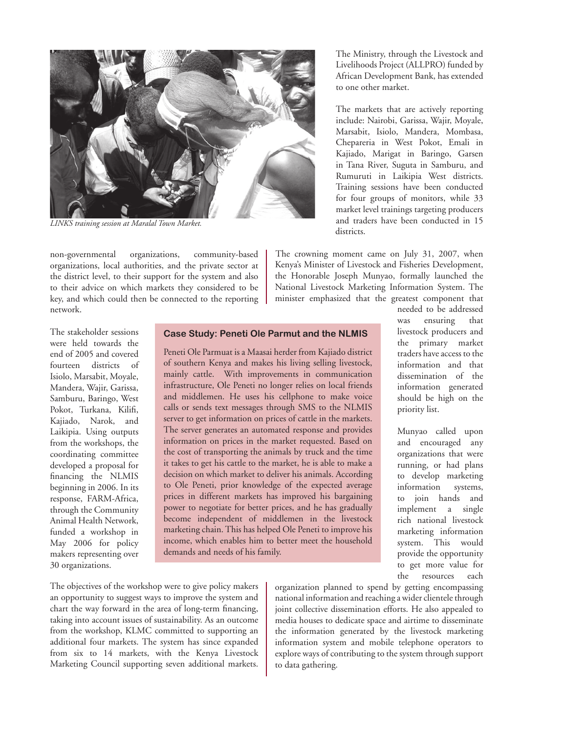

*LINKS training session at Maralal Town Market.* 

non-governmental organizations, community-based organizations, local authorities, and the private sector at the district level, to their support for the system and also to their advice on which markets they considered to be key, and which could then be connected to the reporting network.

The stakeholder sessions were held towards the end of 2005 and covered fourteen districts of Isiolo, Marsabit, Moyale, Mandera, Wajir, Garissa, Samburu, Baringo, West Pokot, Turkana, Kilifi, Kajiado, Narok, and Laikipia. Using outputs from the workshops, the coordinating committee developed a proposal for financing the NLMIS beginning in 2006. In its response, FARM-Africa, through the Community Animal Health Network, funded a workshop in May 2006 for policy makers representing over 30 organizations.

## **Case Study: Peneti Ole Parmut and the NLMIS**

Peneti Ole Parmuat is a Maasai herder from Kajiado district of southern Kenya and makes his living selling livestock, mainly cattle. With improvements in communication infrastructure, Ole Peneti no longer relies on local friends and middlemen. He uses his cellphone to make voice calls or sends text messages through SMS to the NLMIS server to get information on prices of cattle in the markets. The server generates an automated response and provides information on prices in the market requested. Based on the cost of transporting the animals by truck and the time it takes to get his cattle to the market, he is able to make a decision on which market to deliver his animals. According to Ole Peneti, prior knowledge of the expected average prices in different markets has improved his bargaining power to negotiate for better prices, and he has gradually become independent of middlemen in the livestock marketing chain. This has helped Ole Peneti to improve his income, which enables him to better meet the household demands and needs of his family.

The Ministry, through the Livestock and Livelihoods Project (ALLPRO) funded by African Development Bank, has extended to one other market.

The markets that are actively reporting include: Nairobi, Garissa, Wajir, Moyale, Marsabit, Isiolo, Mandera, Mombasa, Chepareria in West Pokot, Emali in Kajiado, Marigat in Baringo, Garsen in Tana River, Suguta in Samburu, and Rumuruti in Laikipia West districts. Training sessions have been conducted for four groups of monitors, while 33 market level trainings targeting producers and traders have been conducted in 15 districts.

The crowning moment came on July 31, 2007, when Kenya's Minister of Livestock and Fisheries Development, the Honorable Joseph Munyao, formally launched the National Livestock Marketing Information System. The minister emphasized that the greatest component that

needed to be addressed was ensuring that livestock producers and the primary market traders have access to the information and that dissemination of the information generated should be high on the priority list.

Munyao called upon and encouraged any organizations that were running, or had plans to develop marketing information systems, to join hands and implement a single rich national livestock marketing information system. This would provide the opportunity to get more value for the resources each

The objectives of the workshop were to give policy makers an opportunity to suggest ways to improve the system and chart the way forward in the area of long-term financing, taking into account issues of sustainability. As an outcome from the workshop, KLMC committed to supporting an additional four markets. The system has since expanded from six to 14 markets, with the Kenya Livestock Marketing Council supporting seven additional markets.

organization planned to spend by getting encompassing national information and reaching a wider clientele through joint collective dissemination efforts. He also appealed to media houses to dedicate space and airtime to disseminate the information generated by the livestock marketing information system and mobile telephone operators to explore ways of contributing to the system through support to data gathering.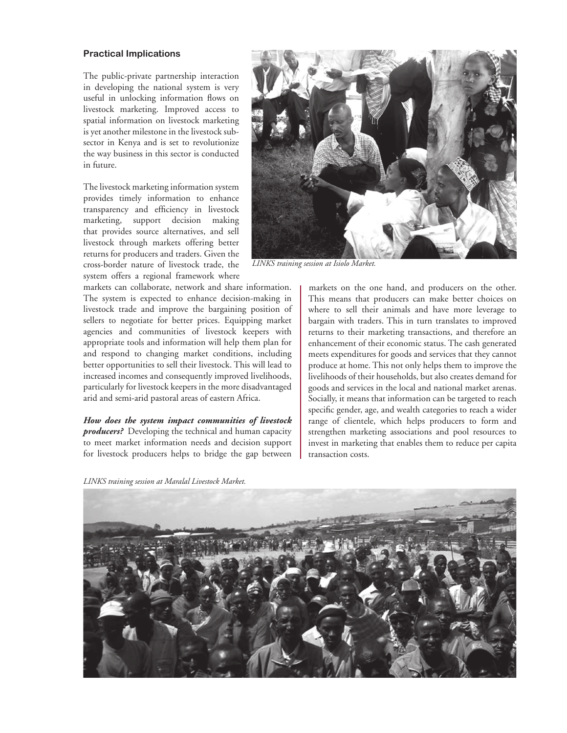### **Practical Implications**

The public-private partnership interaction in developing the national system is very useful in unlocking information flows on livestock marketing. Improved access to spatial information on livestock marketing is yet another milestone in the livestock subsector in Kenya and is set to revolutionize the way business in this sector is conducted in future.

The livestock marketing information system provides timely information to enhance transparency and efficiency in livestock marketing, support decision making that provides source alternatives, and sell livestock through markets offering better returns for producers and traders. Given the cross-border nature of livestock trade, the system offers a regional framework where

markets can collaborate, network and share information. The system is expected to enhance decision-making in livestock trade and improve the bargaining position of sellers to negotiate for better prices. Equipping market agencies and communities of livestock keepers with appropriate tools and information will help them plan for and respond to changing market conditions, including better opportunities to sell their livestock. This will lead to increased incomes and consequently improved livelihoods, particularly for livestock keepers in the more disadvantaged arid and semi-arid pastoral areas of eastern Africa.

*How does the system impact communities of livestock producers?* Developing the technical and human capacity to meet market information needs and decision support for livestock producers helps to bridge the gap between

*LINKS training session at Maralal Livestock Market.*



*LINKS training session at Isiolo Market.* 

markets on the one hand, and producers on the other. This means that producers can make better choices on where to sell their animals and have more leverage to bargain with traders. This in turn translates to improved returns to their marketing transactions, and therefore an enhancement of their economic status. The cash generated meets expenditures for goods and services that they cannot produce at home. This not only helps them to improve the livelihoods of their households, but also creates demand for goods and services in the local and national market arenas. Socially, it means that information can be targeted to reach specific gender, age, and wealth categories to reach a wider range of clientele, which helps producers to form and strengthen marketing associations and pool resources to invest in marketing that enables them to reduce per capita transaction costs.